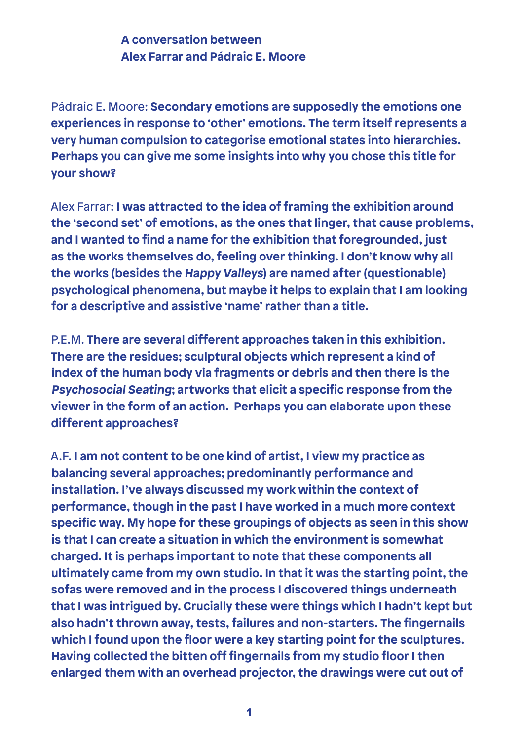## **A conversation between Alex Farrar and Pádraic E. Moore**

Pádraic E. Moore: **Secondary emotions are supposedly the emotions one experiences in response to 'other' emotions. The term itself represents a very human compulsion to categorise emotional states into hierarchies. Perhaps you can give me some insights into why you chose this title for your show?**

Alex Farrar: **I was attracted to the idea of framing the exhibition around the 'second set' of emotions, as the ones that linger, that cause problems, and I wanted to find a name for the exhibition that foregrounded, just as the works themselves do, feeling over thinking. I don't know why all the works (besides the Happy Valleys) are named after (questionable) psychological phenomena, but maybe it helps to explain that I am looking for a descriptive and assistive 'name' rather than a title.**

P.E.M. **There are several different approaches taken in this exhibition. There are the residues; sculptural objects which represent a kind of index of the human body via fragments or debris and then there is the Psychosocial Seating; artworks that elicit a specific response from the viewer in the form of an action. Perhaps you can elaborate upon these different approaches?**

A.F. **I am not content to be one kind of artist, I view my practice as balancing several approaches; predominantly performance and installation. I've always discussed my work within the context of performance, though in the past I have worked in a much more context specific way. My hope for these groupings of objects as seen in this show is that I can create a situation in which the environment is somewhat charged. It is perhaps important to note that these components all ultimately came from my own studio. In that it was the starting point, the sofas were removed and in the process I discovered things underneath that I was intrigued by. Crucially these were things which I hadn't kept but also hadn't thrown away, tests, failures and non-starters. The fingernails which I found upon the floor were a key starting point for the sculptures. Having collected the bitten off fingernails from my studio floor I then enlarged them with an overhead projector, the drawings were cut out of**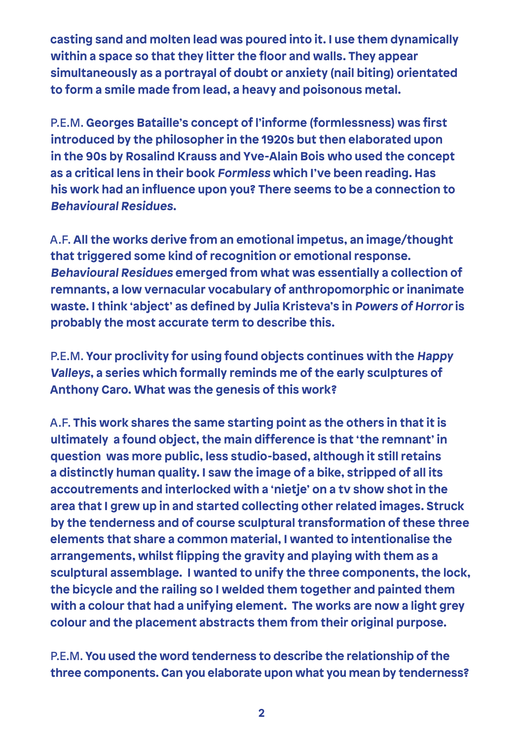**casting sand and molten lead was poured into it. I use them dynamically within a space so that they litter the floor and walls. They appear simultaneously as a portrayal of doubt or anxiety (nail biting) orientated to form a smile made from lead, a heavy and poisonous metal.**

P.E.M. **Georges Bataille's concept of l'informe (formlessness) was first introduced by the philosopher in the 1920s but then elaborated upon in the 90s by Rosalind Krauss and Yve-Alain Bois who used the concept as a critical lens in their book Formless which I've been reading. Has his work had an influence upon you? There seems to be a connection to Behavioural Residues.**

A.F. **All the works derive from an emotional impetus, an image/thought that triggered some kind of recognition or emotional response. Behavioural Residues emerged from what was essentially a collection of remnants, a low vernacular vocabulary of anthropomorphic or inanimate waste. I think 'abject' as defined by Julia Kristeva's in Powers of Horror is probably the most accurate term to describe this.**

P.E.M. **Your proclivity for using found objects continues with the Happy Valleys, a series which formally reminds me of the early sculptures of Anthony Caro. What was the genesis of this work?**

A.F. **This work shares the same starting point as the others in that it is ultimately a found object, the main difference is that 'the remnant' in question was more public, less studio-based, although it still retains a distinctly human quality. I saw the image of a bike, stripped of all its accoutrements and interlocked with a 'nietje' on a tv show shot in the area that I grew up in and started collecting other related images. Struck by the tenderness and of course sculptural transformation of these three elements that share a common material, I wanted to intentionalise the arrangements, whilst flipping the gravity and playing with them as a sculptural assemblage. I wanted to unify the three components, the lock, the bicycle and the railing so I welded them together and painted them with a colour that had a unifying element. The works are now a light grey colour and the placement abstracts them from their original purpose.**

P.E.M. **You used the word tenderness to describe the relationship of the three components. Can you elaborate upon what you mean by tenderness?**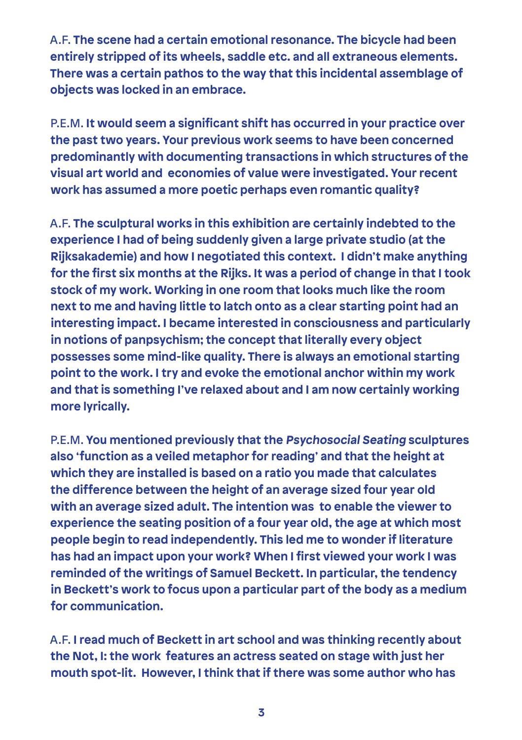A.F. **The scene had a certain emotional resonance. The bicycle had been entirely stripped of its wheels, saddle etc. and all extraneous elements. There was a certain pathos to the way that this incidental assemblage of objects was locked in an embrace.**

P.E.M. **It would seem a significant shift has occurred in your practice over the past two years. Your previous work seems to have been concerned predominantly with documenting transactions in which structures of the visual art world and economies of value were investigated. Your recent work has assumed a more poetic perhaps even romantic quality?**

A.F. **The sculptural works in this exhibition are certainly indebted to the experience I had of being suddenly given a large private studio (at the Rijksakademie) and how I negotiated this context. I didn't make anything for the first six months at the Rijks. It was a period of change in that I took stock of my work. Working in one room that looks much like the room next to me and having little to latch onto as a clear starting point had an interesting impact. I became interested in consciousness and particularly in notions of panpsychism; the concept that literally every object possesses some mind-like quality. There is always an emotional starting point to the work. I try and evoke the emotional anchor within my work and that is something I've relaxed about and I am now certainly working more lyrically.** 

P.E.M. **You mentioned previously that the Psychosocial Seating sculptures also 'function as a veiled metaphor for reading' and that the height at which they are installed is based on a ratio you made that calculates the difference between the height of an average sized four year old with an average sized adult. The intention was to enable the viewer to experience the seating position of a four year old, the age at which most people begin to read independently. This led me to wonder if literature has had an impact upon your work? When I first viewed your work I was reminded of the writings of Samuel Beckett. In particular, the tendency in Beckett's work to focus upon a particular part of the body as a medium for communication.**

A.F. **I read much of Beckett in art school and was thinking recently about the Not, I: the work features an actress seated on stage with just her mouth spot-lit. However, I think that if there was some author who has**